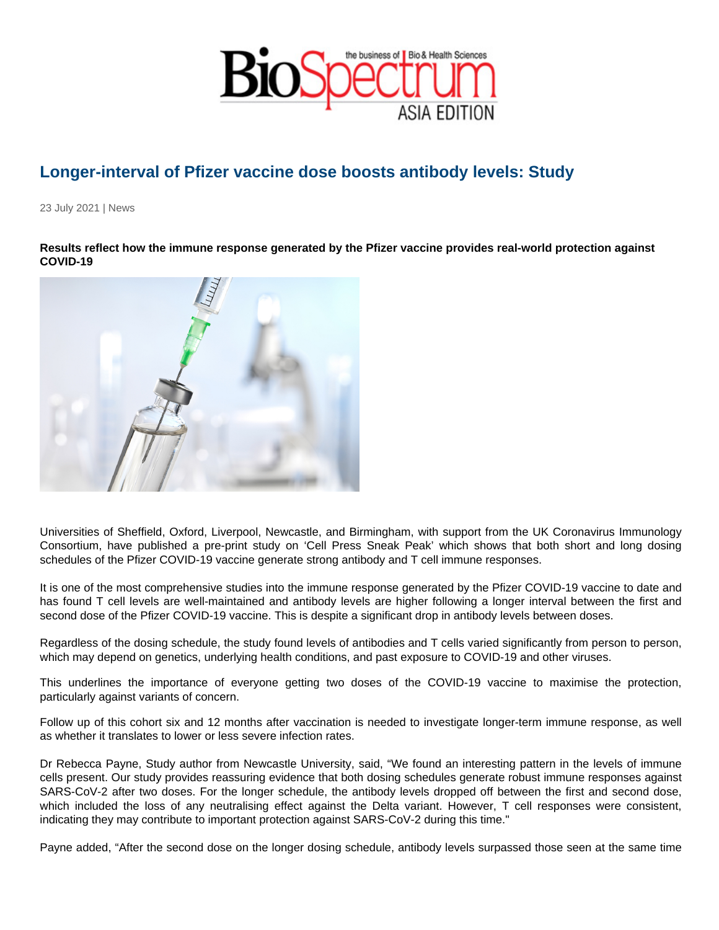## Longer-interval of Pfizer vaccine dose boosts antibody levels: Study

23 July 2021 | News

Results reflect how the immune response generated by the Pfizer vaccine provides real-world protection against COVID-19

Universities of Sheffield, Oxford, Liverpool, Newcastle, and Birmingham, with support from the UK Coronavirus Immunology Consortium, have published a pre-print study on 'Cell Press Sneak Peak' which shows that both short and long dosing schedules of the Pfizer COVID-19 vaccine generate strong antibody and T cell immune responses.

It is one of the most comprehensive studies into the immune response generated by the Pfizer COVID-19 vaccine to date and has found T cell levels are well-maintained and antibody levels are higher following a longer interval between the first and second dose of the Pfizer COVID-19 vaccine. This is despite a significant drop in antibody levels between doses.

Regardless of the dosing schedule, the study found levels of antibodies and T cells varied significantly from person to person, which may depend on genetics, underlying health conditions, and past exposure to COVID-19 and other viruses.

This underlines the importance of everyone getting two doses of the COVID-19 vaccine to maximise the protection, particularly against variants of concern.

Follow up of this cohort six and 12 months after vaccination is needed to investigate longer-term immune response, as well as whether it translates to lower or less severe infection rates.

Dr Rebecca Payne, Study author from Newcastle University, said, "We found an interesting pattern in the levels of immune cells present. Our study provides reassuring evidence that both dosing schedules generate robust immune responses against SARS-CoV-2 after two doses. For the longer schedule, the antibody levels dropped off between the first and second dose, which included the loss of any neutralising effect against the Delta variant. However, T cell responses were consistent, indicating they may contribute to important protection against SARS-CoV-2 during this time."

Payne added, "After the second dose on the longer dosing schedule, antibody levels surpassed those seen at the same time